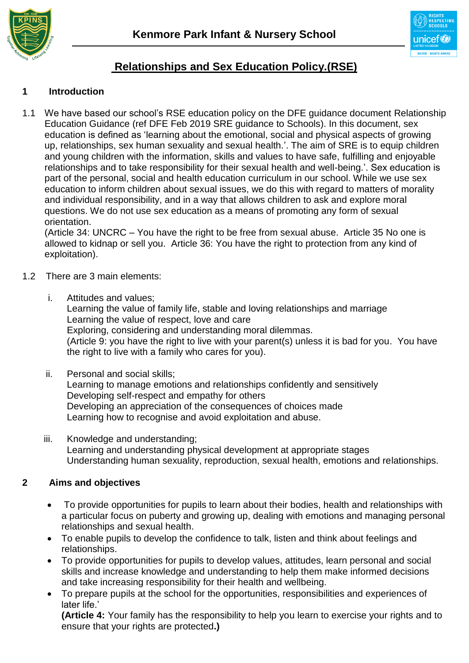



# **Relationships and Sex Education Policy.(RSE)**

## **1 Introduction**

1.1 We have based our school's RSE education policy on the DFE guidance document Relationship Education Guidance (ref DFE Feb 2019 SRE guidance to Schools). In this document, sex education is defined as 'learning about the emotional, social and physical aspects of growing up, relationships, sex human sexuality and sexual health.'. The aim of SRE is to equip children and young children with the information, skills and values to have safe, fulfilling and enjoyable relationships and to take responsibility for their sexual health and well-being.'. Sex education is part of the personal, social and health education curriculum in our school. While we use sex education to inform children about sexual issues, we do this with regard to matters of morality and individual responsibility, and in a way that allows children to ask and explore moral questions. We do not use sex education as a means of promoting any form of sexual orientation.

(Article 34: UNCRC – You have the right to be free from sexual abuse. Article 35 No one is allowed to kidnap or sell you. Article 36: You have the right to protection from any kind of exploitation).

#### 1.2 There are 3 main elements:

i. Attitudes and values;

Learning the value of family life, stable and loving relationships and marriage Learning the value of respect, love and care Exploring, considering and understanding moral dilemmas. (Article 9: you have the right to live with your parent(s) unless it is bad for you. You have the right to live with a family who cares for you).

- ii. Personal and social skills; Learning to manage emotions and relationships confidently and sensitively Developing self-respect and empathy for others Developing an appreciation of the consequences of choices made Learning how to recognise and avoid exploitation and abuse.
- iii. Knowledge and understanding; Learning and understanding physical development at appropriate stages Understanding human sexuality, reproduction, sexual health, emotions and relationships.

#### **2 Aims and objectives**

- To provide opportunities for pupils to learn about their bodies, health and relationships with a particular focus on puberty and growing up, dealing with emotions and managing personal relationships and sexual health.
- To enable pupils to develop the confidence to talk, listen and think about feelings and relationships.
- To provide opportunities for pupils to develop values, attitudes, learn personal and social skills and increase knowledge and understanding to help them make informed decisions and take increasing responsibility for their health and wellbeing.
- To prepare pupils at the school for the opportunities, responsibilities and experiences of later life.'

**(Article 4:** Your family has the responsibility to help you learn to exercise your rights and to ensure that your rights are protected**.)**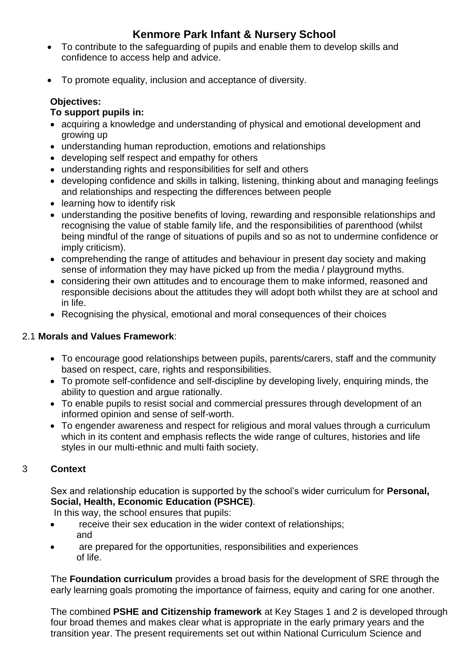- To contribute to the safeguarding of pupils and enable them to develop skills and confidence to access help and advice.
- To promote equality, inclusion and acceptance of diversity.

## **Objectives:**

## **To support pupils in:**

- acquiring a knowledge and understanding of physical and emotional development and growing up
- understanding human reproduction, emotions and relationships
- developing self respect and empathy for others
- understanding rights and responsibilities for self and others
- developing confidence and skills in talking, listening, thinking about and managing feelings and relationships and respecting the differences between people
- learning how to identify risk
- understanding the positive benefits of loving, rewarding and responsible relationships and recognising the value of stable family life, and the responsibilities of parenthood (whilst being mindful of the range of situations of pupils and so as not to undermine confidence or imply criticism).
- comprehending the range of attitudes and behaviour in present day society and making sense of information they may have picked up from the media / playground myths.
- considering their own attitudes and to encourage them to make informed, reasoned and responsible decisions about the attitudes they will adopt both whilst they are at school and in life.
- Recognising the physical, emotional and moral consequences of their choices

### 2.1 **Morals and Values Framework**:

- To encourage good relationships between pupils, parents/carers, staff and the community based on respect, care, rights and responsibilities.
- To promote self-confidence and self-discipline by developing lively, enquiring minds, the ability to question and argue rationally.
- To enable pupils to resist social and commercial pressures through development of an informed opinion and sense of self-worth.
- To engender awareness and respect for religious and moral values through a curriculum which in its content and emphasis reflects the wide range of cultures, histories and life styles in our multi-ethnic and multi faith society.

## 3 **Context**

Sex and relationship education is supported by the school's wider curriculum for **Personal, Social, Health, Economic Education (PSHCE)**.

In this way, the school ensures that pupils:

- receive their sex education in the wider context of relationships; and
- are prepared for the opportunities, responsibilities and experiences of life.

The **Foundation curriculum** provides a broad basis for the development of SRE through the early learning goals promoting the importance of fairness, equity and caring for one another.

The combined **PSHE and Citizenship framework** at Key Stages 1 and 2 is developed through four broad themes and makes clear what is appropriate in the early primary years and the transition year. The present requirements set out within National Curriculum Science and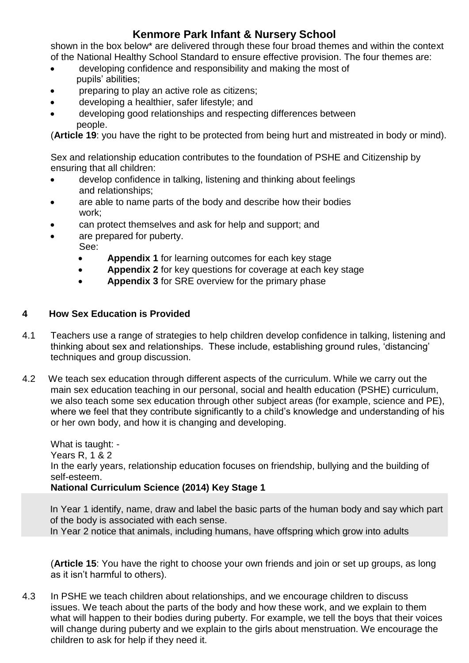shown in the box below\* are delivered through these four broad themes and within the context of the National Healthy School Standard to ensure effective provision. The four themes are:

- developing confidence and responsibility and making the most of pupils' abilities;
- preparing to play an active role as citizens;
- developing a healthier, safer lifestyle; and
- developing good relationships and respecting differences between people.

(**Article 19**: you have the right to be protected from being hurt and mistreated in body or mind).

Sex and relationship education contributes to the foundation of PSHE and Citizenship by ensuring that all children:

- develop confidence in talking, listening and thinking about feelings and relationships;
- are able to name parts of the body and describe how their bodies work;
- can protect themselves and ask for help and support; and
- are prepared for puberty.
- See:
	- **Appendix 1** for learning outcomes for each key stage
	- **Appendix 2** for key questions for coverage at each key stage
	- **Appendix 3** for SRE overview for the primary phase

### **4 How Sex Education is Provided**

- 4.1 Teachers use a range of strategies to help children develop confidence in talking, listening and thinking about sex and relationships. These include, establishing ground rules, 'distancing' techniques and group discussion.
- 4.2 We teach sex education through different aspects of the curriculum. While we carry out the main sex education teaching in our personal, social and health education (PSHE) curriculum, we also teach some sex education through other subject areas (for example, science and PE). where we feel that they contribute significantly to a child's knowledge and understanding of his or her own body, and how it is changing and developing.

What is taught: - Years R, 1 & 2 In the early years, relationship education focuses on friendship, bullying and the building of self-esteem. **National Curriculum Science (2014) Key Stage 1**

In Year 1 identify, name, draw and label the basic parts of the human body and say which part of the body is associated with each sense. In Year 2 notice that animals, including humans, have offspring which grow into adults

(**Article 15**: You have the right to choose your own friends and join or set up groups, as long as it isn't harmful to others).

4.3 In PSHE we teach children about relationships, and we encourage children to discuss issues. We teach about the parts of the body and how these work, and we explain to them what will happen to their bodies during puberty. For example, we tell the boys that their voices will change during puberty and we explain to the girls about menstruation. We encourage the children to ask for help if they need it.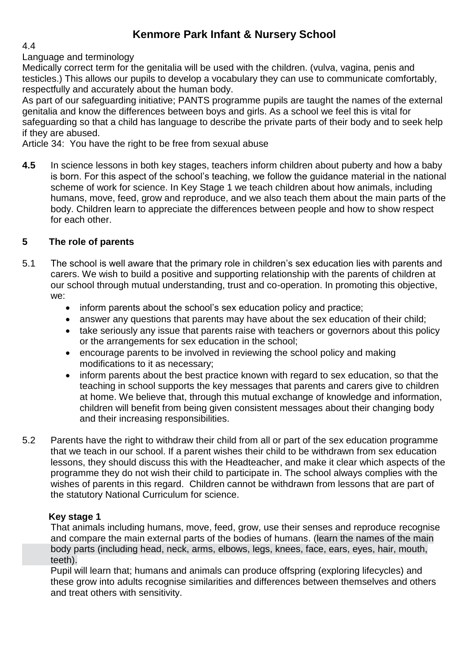#### 4.4

#### Language and terminology

Medically correct term for the genitalia will be used with the children. (vulva, vagina, penis and testicles.) This allows our pupils to develop a vocabulary they can use to communicate comfortably, respectfully and accurately about the human body.

As part of our safeguarding initiative; PANTS programme pupils are taught the names of the external genitalia and know the differences between boys and girls. As a school we feel this is vital for safeguarding so that a child has language to describe the private parts of their body and to seek help if they are abused.

Article 34: You have the right to be free from sexual abuse

**4.5** In science lessons in both key stages, teachers inform children about puberty and how a baby is born. For this aspect of the school's teaching, we follow the guidance material in the national scheme of work for science. In Key Stage 1 we teach children about how animals, including humans, move, feed, grow and reproduce, and we also teach them about the main parts of the body. Children learn to appreciate the differences between people and how to show respect for each other.

#### **5 The role of parents**

- 5.1 The school is well aware that the primary role in children's sex education lies with parents and carers. We wish to build a positive and supporting relationship with the parents of children at our school through mutual understanding, trust and co-operation. In promoting this objective, we:
	- inform parents about the school's sex education policy and practice:
	- answer any questions that parents may have about the sex education of their child;
	- take seriously any issue that parents raise with teachers or governors about this policy or the arrangements for sex education in the school;
	- encourage parents to be involved in reviewing the school policy and making modifications to it as necessary;
	- inform parents about the best practice known with regard to sex education, so that the teaching in school supports the key messages that parents and carers give to children at home. We believe that, through this mutual exchange of knowledge and information, children will benefit from being given consistent messages about their changing body and their increasing responsibilities.
- 5.2 Parents have the right to withdraw their child from all or part of the sex education programme that we teach in our school. If a parent wishes their child to be withdrawn from sex education lessons, they should discuss this with the Headteacher, and make it clear which aspects of the programme they do not wish their child to participate in. The school always complies with the wishes of parents in this regard. Children cannot be withdrawn from lessons that are part of the statutory National Curriculum for science.

#### **Key stage 1**

That animals including humans, move, feed, grow, use their senses and reproduce recognise and compare the main external parts of the bodies of humans. (learn the names of the main body parts (including head, neck, arms, elbows, legs, knees, face, ears, eyes, hair, mouth, teeth).

Pupil will learn that; humans and animals can produce offspring (exploring lifecycles) and these grow into adults recognise similarities and differences between themselves and others and treat others with sensitivity.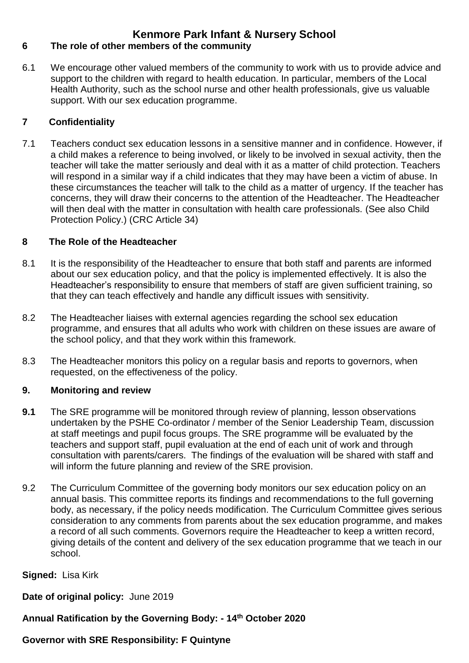### **6 The role of other members of the community**

6.1 We encourage other valued members of the community to work with us to provide advice and support to the children with regard to health education. In particular, members of the Local Health Authority, such as the school nurse and other health professionals, give us valuable support. With our sex education programme.

### **7 Confidentiality**

7.1 Teachers conduct sex education lessons in a sensitive manner and in confidence. However, if a child makes a reference to being involved, or likely to be involved in sexual activity, then the teacher will take the matter seriously and deal with it as a matter of child protection. Teachers will respond in a similar way if a child indicates that they may have been a victim of abuse. In these circumstances the teacher will talk to the child as a matter of urgency. If the teacher has concerns, they will draw their concerns to the attention of the Headteacher. The Headteacher will then deal with the matter in consultation with health care professionals. (See also Child Protection Policy.) (CRC Article 34)

#### **8 The Role of the Headteacher**

- 8.1 It is the responsibility of the Headteacher to ensure that both staff and parents are informed about our sex education policy, and that the policy is implemented effectively. It is also the Headteacher's responsibility to ensure that members of staff are given sufficient training, so that they can teach effectively and handle any difficult issues with sensitivity.
- 8.2 The Headteacher liaises with external agencies regarding the school sex education programme, and ensures that all adults who work with children on these issues are aware of the school policy, and that they work within this framework.
- 8.3 The Headteacher monitors this policy on a regular basis and reports to governors, when requested, on the effectiveness of the policy.

#### **9. Monitoring and review**

- **9.1** The SRE programme will be monitored through review of planning, lesson observations undertaken by the PSHE Co-ordinator / member of the Senior Leadership Team, discussion at staff meetings and pupil focus groups. The SRE programme will be evaluated by the teachers and support staff, pupil evaluation at the end of each unit of work and through consultation with parents/carers. The findings of the evaluation will be shared with staff and will inform the future planning and review of the SRE provision.
- 9.2 The Curriculum Committee of the governing body monitors our sex education policy on an annual basis. This committee reports its findings and recommendations to the full governing body, as necessary, if the policy needs modification. The Curriculum Committee gives serious consideration to any comments from parents about the sex education programme, and makes a record of all such comments. Governors require the Headteacher to keep a written record, giving details of the content and delivery of the sex education programme that we teach in our school.

#### **Signed:** Lisa Kirk

**Date of original policy:** June 2019

**Annual Ratification by the Governing Body: - 14th October 2020**

#### **Governor with SRE Responsibility: F Quintyne**